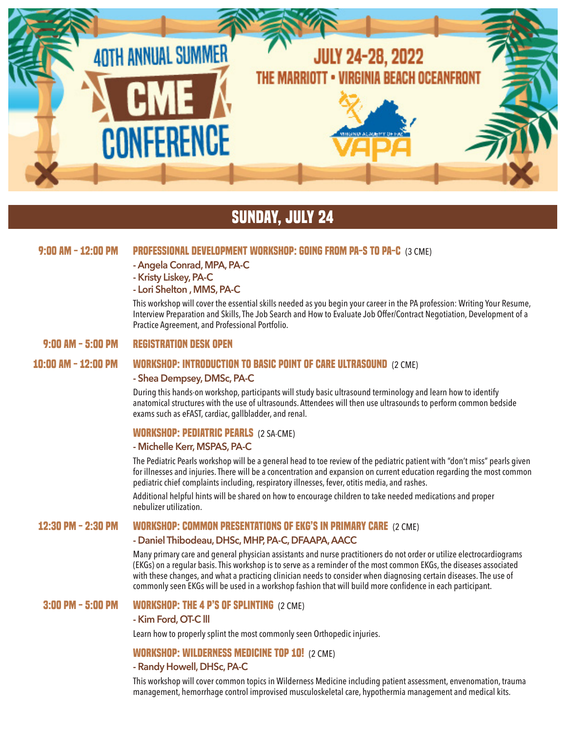

## **sunday, July 24**

## **9:00 AM - 12:00 PM PROFESSIONAL DEVELOPMENT WORKSHOP: GOING FROM PA-S TO PA-C** (3 CME)

- **Angela Conrad, MPA, PA-C**
- **Kristy Liskey, PA-C**
- **Lori Shelton , MMS, PA-C**

This workshop will cover the essential skills needed as you begin your career in the PA profession: Writing Your Resume, Interview Preparation and Skills, The Job Search and How to Evaluate Job Offer/Contract Negotiation, Development of a Practice Agreement, and Professional Portfolio.

### **9:00 AM - 5:00 PM REGISTRATION DESK OPEN**

## **10:00 AM - 12:00 PM WORKSHOP: INTRODUCTION TO BASIC POINT OF CARE ULTRASOUND** (2 CME)

#### **- Shea Dempsey, DMSc, PA-C**

During this hands-on workshop, participants will study basic ultrasound terminology and learn how to identify anatomical structures with the use of ultrasounds. Attendees will then use ultrasounds to perform common bedside exams such as eFAST, cardiac, gallbladder, and renal.

## **WORKSHOP: PEDIATRIC PEARLS** (2 SA-CME)

## **- Michelle Kerr, MSPAS, PA-C**

The Pediatric Pearls workshop will be a general head to toe review of the pediatric patient with "don't miss" pearls given for illnesses and injuries. There will be a concentration and expansion on current education regarding the most common pediatric chief complaints including, respiratory illnesses, fever, otitis media, and rashes.

Additional helpful hints will be shared on how to encourage children to take needed medications and proper nebulizer utilization.

### **12:30 PM - 2:30 PM WORKSHOP: COMMON PRESENTATIONS OF EKG'S IN PRIMARY CARE** (2 CME)

### **- Daniel Thibodeau, DHSc, MHP, PA-C, DFAAPA, AACC**

Many primary care and general physician assistants and nurse practitioners do not order or utilize electrocardiograms (EKGs) on a regular basis. This workshop is to serve as a reminder of the most common EKGs, the diseases associated with these changes, and what a practicing clinician needs to consider when diagnosing certain diseases. The use of commonly seen EKGs will be used in a workshop fashion that will build more confidence in each participant.

## **3:00 PM - 5:00 PM WORKSHOP: THE 4 P'S OF SPLINTING** (2 CME)

#### **- Kim Ford, OT-C lll**

Learn how to properly splint the most commonly seen Orthopedic injuries.

## **WORKSHOP: WILDERNESS MEDICINE TOP 10!** (2 CME)

### **- Randy Howell, DHSc, PA-C**

This workshop will cover common topics in Wilderness Medicine including patient assessment, envenomation, trauma management, hemorrhage control improvised musculoskeletal care, hypothermia management and medical kits.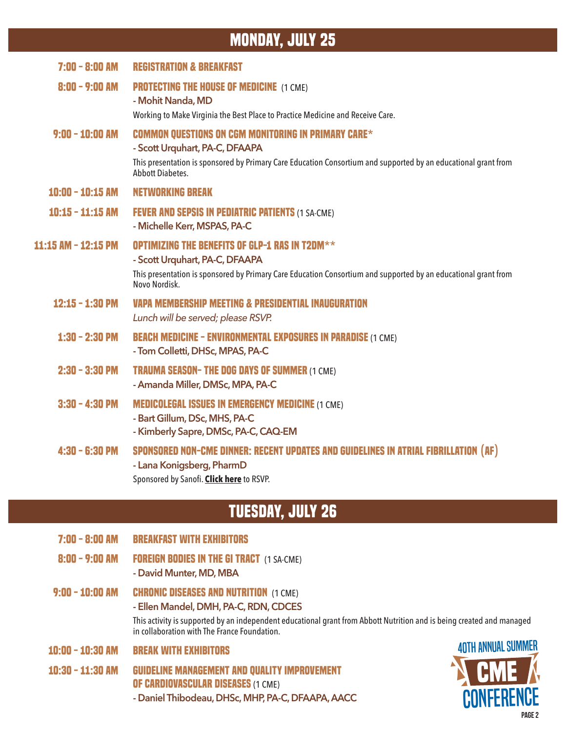## **monday, July 25**

| $7:00 - 8:00$ AM    | <b>REGISTRATION &amp; BREAKFAST</b>                                                                                                                                                                                                       |
|---------------------|-------------------------------------------------------------------------------------------------------------------------------------------------------------------------------------------------------------------------------------------|
| $8:00 - 9:00$ AM    | <b>PROTECTING THE HOUSE OF MEDICINE (1 CME)</b><br>- Mohit Nanda, MD                                                                                                                                                                      |
|                     | Working to Make Virginia the Best Place to Practice Medicine and Receive Care.                                                                                                                                                            |
| $9:00 - 10:00$ AM   | <b>COMMON OUESTIONS ON CGM MONITORING IN PRIMARY CARE*</b><br>- Scott Urquhart, PA-C, DFAAPA<br>This presentation is sponsored by Primary Care Education Consortium and supported by an educational grant from<br><b>Abbott Diabetes.</b> |
|                     |                                                                                                                                                                                                                                           |
| $10:00 - 10:15$ AM  | <b>NETWORKING BREAK</b>                                                                                                                                                                                                                   |
| $10:15 - 11:15$ AM  | <b>FEVER AND SEPSIS IN PEDIATRIC PATIENTS (1 SA-CME)</b><br>- Michelle Kerr, MSPAS, PA-C                                                                                                                                                  |
| 11:15 AM - 12:15 PM | <b>OPTIMIZING THE BENEFITS OF GLP-1 RAS IN T2DM**</b><br>- Scott Urquhart, PA-C, DFAAPA<br>This presentation is sponsored by Primary Care Education Consortium and supported by an educational grant from<br>Novo Nordisk.                |
| $12:15 - 1:30$ PM   | <b>VAPA MEMBERSHIP MEETING &amp; PRESIDENTIAL INAUGURATION</b><br>Lunch will be served; please RSVP.                                                                                                                                      |
| $1:30 - 2:30$ PM    | <b>BEACH MEDICINE - ENVIRONMENTAL EXPOSURES IN PARADISE (1 CME)</b><br>- Tom Colletti, DHSc, MPAS, PA-C                                                                                                                                   |
| $2:30 - 3:30$ PM    | <b>TRAUMA SEASON- THE DOG DAYS OF SUMMER (1 CME)</b><br>- Amanda Miller, DMSc, MPA, PA-C                                                                                                                                                  |
| $3:30 - 4:30$ PM    | <b>MEDICOLEGAL ISSUES IN EMERGENCY MEDICINE (1 CME)</b><br>- Bart Gillum, DSc, MHS, PA-C<br>- Kimberly Sapre, DMSc, PA-C, CAQ-EM                                                                                                          |
| $4:30 - 6:30$ PM    | SPONSORED NON-CME DINNER: RECENT UPDATES AND GUIDELINES IN ATRIAL FIBRILLATION (AF)<br>- Lana Konigsberg, PharmD<br>Sponsored by Sanofi. Click here to RSVP.                                                                              |

# **Tuesday, July 26**

- **7:00 8:00 AM BREAKFAST WITH EXHIBITORS**
- **8:00 9:00 AM FOREIGN BODIES IN THE GI TRACT** (1 SA-CME)
	- **David Munter, MD, MBA**
- **9:00 10:00 AM CHRONIC DISEASES AND NUTRITION** (1 CME) **- Ellen Mandel, DMH, PA-C, RDN, CDCES**

This activity is supported by an independent educational grant from Abbott Nutrition and is being created and managed in collaboration with The France Foundation.

- **10:00 10:30 AM BREAK WITH EXHIBITORS**
- **10:30 11:30 AM GUIDELINE MANAGEMENT AND QUALITY IMPROVEMENT OF CARDIOVASCULAR DISEASES** (1 CME) **- Daniel Thibodeau, DHSc, MHP, PA-C, DFAAPA, AACC**

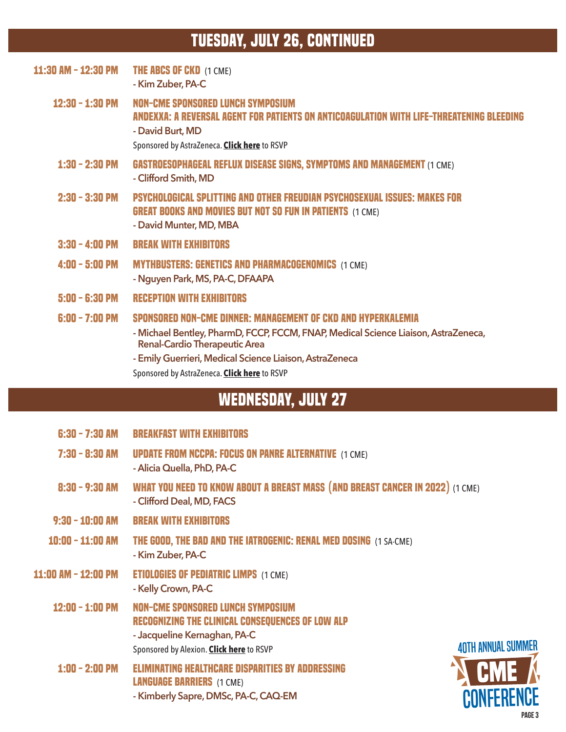# **Tuesday, July 26, continued**

| 11:30 AM - 12:30 PM | <b>THE ABCS OF CKD (1 CME)</b><br>- Kim Zuber, PA-C                                                                                                                                                                                                                                                   |
|---------------------|-------------------------------------------------------------------------------------------------------------------------------------------------------------------------------------------------------------------------------------------------------------------------------------------------------|
| $12:30 - 1:30$ PM   | NON-CME SPONSORED LUNCH SYMPOSIUM<br>ANDEXXA: A REVERSAL AGENT FOR PATIENTS ON ANTICOAGULATION WITH LIFE-THREATENING BLEED<br>- David Burt, MD<br>Sponsored by AstraZeneca. Click here to RSVP                                                                                                        |
| $1:30 - 2:30$ PM    | <b>GASTROESOPHAGEAL REFLUX DISEASE SIGNS, SYMPTOMS AND MANAGEMENT (1 CME)</b><br>- Clifford Smith, MD                                                                                                                                                                                                 |
| $2:30 - 3:30$ PM    | <b>PSYCHOLOGICAL SPLITTING AND OTHER FREUDIAN PSYCHOSEXUAL ISSUES: MAKES FOR</b><br><b>GREAT BOOKS AND MOVIES BUT NOT SO FUN IN PATIENTS (1 CME)</b><br>- David Munter, MD, MBA                                                                                                                       |
| $3:30 - 4:00$ PM    | <b>BREAK WITH EXHIBITORS</b>                                                                                                                                                                                                                                                                          |
| $4:00 - 5:00$ PM    | <b>MYTHBUSTERS: GENETICS AND PHARMACOGENOMICS (1 CME)</b><br>- Nguyen Park, MS, PA-C, DFAAPA                                                                                                                                                                                                          |
| $5:00 - 6:30$ PM    | <b>RECEPTION WITH EXHIBITORS</b>                                                                                                                                                                                                                                                                      |
| $6:00 - 7:00$ PM    | SPONSORED NON-CME DINNER: MANAGEMENT OF CKD AND HYPERKALEMIA<br>- Michael Bentley, PharmD, FCCP, FCCM, FNAP, Medical Science Liaison, AstraZeneca,<br><b>Renal-Cardio Therapeutic Area</b><br>- Emily Guerrieri, Medical Science Liaison, AstraZeneca<br>Sponsored by AstraZeneca. Click here to RSVP |
|                     |                                                                                                                                                                                                                                                                                                       |

# **WEDNESday, July 27**

- **6:30 7:30 AM BREAKFAST WITH EXHIBITORS**
- **7:30 8:30 AM UPDATE FROM NCCPA: FOCUS ON PANRE ALTERNATIVE** (1 CME) **- Alicia Quella, PhD, PA-C**
- **8:30 9:30 AM WHAT YOU NEED TO KNOW ABOUT A BREAST MASS (AND BREAST CANCER IN 2022)** (1 CME) **- Clifford Deal, MD, FACS**
- **9:30 10:00 AM BREAK WITH EXHIBITORS**
- **10:00 11:00 AM THE GOOD, THE BAD AND THE IATROGENIC: RENAL MED DOSING** (1 SA-CME) **- Kim Zuber, PA-C**
- **11:00 AM 12:00 PM ETIOLOGIES OF PEDIATRIC LIMPS** (1 CME) **- Kelly Crown, PA-C**
	- **12:00 1:00 PM NON-CME SPONSORED LUNCH SYMPOSIUM RECOGNIZING THE CLINICAL CONSEQUENCES OF LOW ALP - Jacqueline Kernaghan, PA-C** Sponsored by Alexion. **[Click here](http://www.esvw.com/rsvp/vapa)** to RSVP
		- **1:00 2:00 PM ELIMINATING HEALTHCARE DISPARITIES BY ADDRESSING LANGUAGE BARRIERS** (1 CME) **- Kimberly Sapre, DMSc, PA-C, CAQ-EM**